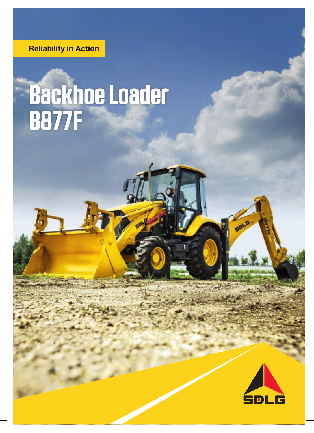**Reliability in Action** 

# **Backhoe Loader B877F**



SOLD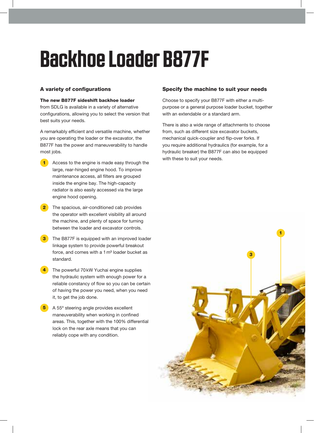# **Backhoe Loader B877F**

#### A variety of configurations

#### The new B877F sideshift backhoe loader

from SDLG is available in a variety of alternative configurations, allowing you to select the version that best suits your needs.

A remarkably efficient and versatile machine, whether you are operating the loader or the excavator, the B877F has the power and maneuverability to handle most jobs.

- Access to the engine is made easy through the large, rear-hinged engine hood. To improve maintenance access, all filters are grouped inside the engine bay. The high-capacity radiator is also easily accessed via the large engine hood opening. 1
- The spacious, air-conditioned cab provides the operator with excellent visibility all around the machine, and plenty of space for turning between the loader and excavator controls. 2
- The B877F is equipped with an improved loader linkage system to provide powerful breakout force, and comes with a 1 m<sup>3</sup> loader bucket as standard. 3
- The powerful 70kW Yuchai engine supplies the hydraulic system with enough power for a reliable constancy of flow so you can be certain of having the power you need, when you need it, to get the job done. 4
- 5 A 55° steering angle provides excellent maneuverability when working in confined areas. This, together with the 100% differential lock on the rear axle means that you can reliably cope with any condition.

#### Specify the machine to suit your needs

Choose to specify your B877F with either a multipurpose or a general purpose loader bucket, together with an extendable or a standard arm.

There is also a wide range of attachments to choose from, such as different size excavator buckets, mechanical quick-coupler and flip-over forks. If you require additional hydraulics (for example, for a hydraulic breaker) the B877F can also be equipped with these to suit your needs.

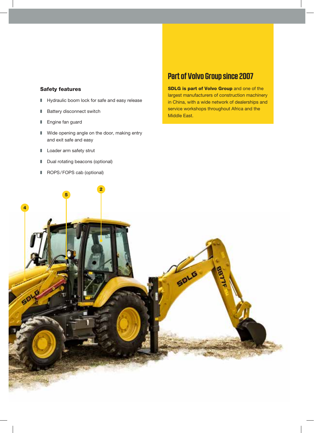#### Safety features

- $\blacksquare$  Hydraulic boom lock for safe and easy release
- Battery disconnect switch
- Engine fan guard
- $\blacksquare$  Wide opening angle on the door, making entry and exit safe and easy
- **Loader arm safety strut**
- **I** Dual rotating beacons (optional)
- ROPS/FOPS cab (optional)

## **Part of Volvo Group since 2007**

SDLG is part of Volvo Group and one of the largest manufacturers of construction machinery in China, with a wide network of dealerships and service workshops throughout Africa and the Middle East.

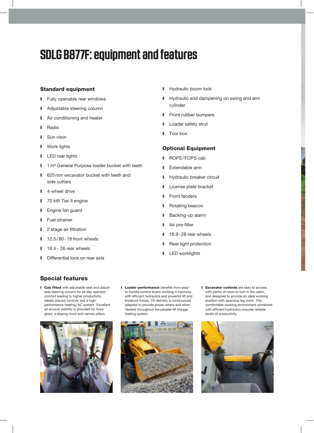# **SDLG B877F: equipment and features**

#### Standard equipment

- $\blacksquare$  Fully openable rear windows
- Adjustable steering column
- $\blacksquare$  Air conditioning and heater
- Radio
- $\blacksquare$  Sun visor
- $\blacksquare$  Work lights
- $\blacksquare$  LED rear lights
- 1m<sup>3</sup> General Purpose loader bucket with teeth
- $\Box$  625 mm excavator bucket with teeth and side cutters
- $\blacksquare$  4-wheel drive
- 70 kW Tier II engine
- **Engine fan guard**
- $\blacksquare$  Fuel strainer
- $\blacksquare$  2 stage air filtration
- $\blacksquare$  12.5/80 18 front wheels
- $\blacksquare$  18.4 26 rear wheels
- $\blacksquare$  Differential lock on rear axle
- **Hydraulic boom lock**
- **Hydraulic end dampening on swing and arm** cylinder
- **Front rubber bumpers**
- **Loader safety strut**
- **Tool box**

#### Optional Equipment

- ROPS/FOPS cab
- **Extendable arm**
- Hydraulic breaker circuit
- **License plate bracket**
- $\blacksquare$  Front fenders
- Rotating beacon
- Backing-up alarm
- $\blacksquare$  Air pre-filter
- 16.9-28 rear wheels
- Rear light protection
- $\blacksquare$  LED worklights

#### Special features

**Cab fitted** with adjustable seat and adjustable steering column for all-day operator comfort leading to higher productivity. Ideally-placed controls and a highperformance heating/AC system. Excellent all-around visibility is provided by more glass, a sloping hood and narrow pillars.



**Loader performance** benefits from easyto-handle control levers working in harmony with efficient hydraulics and powerful lift and breakout forces. Oil delivery is continuously adapted to provide power where and when needed throughout the parallel-lift linkage loading system.



**Excavator controls** are easy to access, with plenty of room to turn in the cabin. and designed to provide an ideal working position with spacious leg room. The comfortable working environment combined with efficient hydraulics ensures reliable levels of productivity.

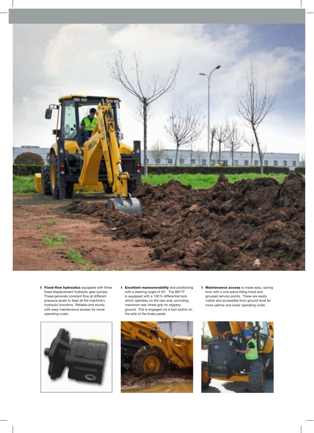

**Fixed-flow hydraulics** equipped with three fixed-displacement hydraulic gear pumps. These generate constant flow at different pressure levels to feed all the machine's hydraulic functions. Reliable and sturdy, with easy maintenance access for lower operating costs.



**Excellent maneuverability** and positioning with a steering angle of 55°. The B877F is equipped with a 100% differential lock which operates on the rear axle, providing maximum rear wheel grip on slippery ground. This is engaged via a foot switch on the side of the brake pedal.



**Maintenance access** is made easy, saving time with a one-piece tilting hood and grouped service points. These are easily visible and accessible from ground level for more uptime and lower operating costs.

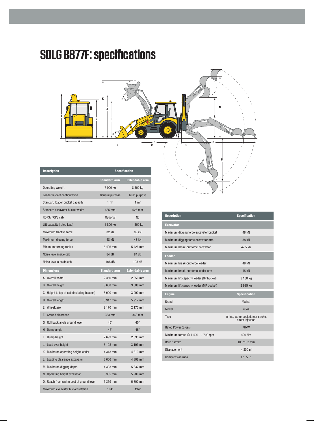# **SDLG B877F: specifications**



| <b>Description</b>                         | <b>Specification</b> |                       |
|--------------------------------------------|----------------------|-----------------------|
|                                            | <b>Standard arm</b>  | <b>Extendable arm</b> |
| Operating weight                           | 7 900 kg             | 8 300 kg              |
| Loader bucket configuration                | General purpose      | Multi purpose         |
| Standard loader bucket capacity            | $1 \text{ m}^3$      | $1 \text{ m}^3$       |
| Standard excavator bucket width            | 625 mm               | 625 mm                |
| ROPS/FOPS cab                              | <b>Optional</b>      | No                    |
| Lift capacity (rated load)                 | 1 800 kg             | 1 800 kg              |
| Maximum tractive force                     | <b>82 kN</b>         | 82 kN                 |
| Maximum digging force                      | <b>48 kN</b>         | <b>48 kN</b>          |
| Minimum turning radius                     | 5 426 mm             | 5 426 mm              |
| Noise level inside cab                     | 84 dB                | 84 dB                 |
| Noise level outside cab                    | 108 dB               | 108 dB                |
| <b>Dimensions</b>                          | <b>Standard arm</b>  | <b>Extendable arm</b> |
| A. Overall width                           | 2 350 mm             | 2 350 mm              |
| <b>B.</b> Overall height                   | 3 608 mm             | 3 608 mm              |
| C. Height to top of cab (including beacon) | 3 090 mm             | 3 090 mm              |
| D. Overall length                          | 5 917 mm             | 5 917 mm              |
| E. Wheelbase                               | 2 170 mm             | 2 170 mm              |
| F. Ground clearance                        | 363 mm               | 363 mm                |
| G. Roll back angle ground level            | $45^{\circ}$         | $45^{\circ}$          |
| H. Dump angle                              | $45^\circ$           | $45^\circ$            |
| I.<br>Dump height                          | 2693 mm              | 2693 mm               |
| J. Load over height                        | 3 193 mm             | 3 193 mm              |
| K. Maximum operating height loader         | 4 313 mm             | 4 313 mm              |
| L. Loading clearance excavator             | 3 606 mm             | 4 308 mm              |
| M. Maximum digging depth                   | 4 303 mm             | 5 337 mm              |
| N. Operating height excavator              | 5 335 mm             | 5 986 mm              |
| 0. Reach from swing post at ground level   | 5 359 mm             | 6 300 mm              |
| Maximum excavator bucket rotation          | 194°                 | 194°                  |

| <b>Description</b>                       | <b>Specification</b>                                    |
|------------------------------------------|---------------------------------------------------------|
| <b>Excavator</b>                         |                                                         |
| Maximum digging force excavator bucket   | 48 kN                                                   |
| Maximum digging force excavator arm      | 38 kN                                                   |
| Maximum break-out force excavator        | 47.5 kN                                                 |
| <b>Loader</b>                            |                                                         |
| Maximum break-out force loader           | 48 kN                                                   |
| Maximum break-out force loader arm       | 45 kN                                                   |
| Maximum lift capacity loader (GP bucket) | 3 180 kg                                                |
| Maximum lift capacity loader (MP bucket) | 2 935 kg                                                |
| <b>Engine</b>                            | <b>Specification</b>                                    |
| <b>Brand</b>                             | Yuchai                                                  |
| Model                                    | YC <sub>4</sub> A                                       |
| Type                                     | In line, water cooled, four stroke,<br>direct injection |
| <b>Rated Power (Gross)</b>               | <b>70kW</b>                                             |
| Maximum torque @ 1 400 - 1 700 rpm       | 420 Nm                                                  |
| Bore / stroke                            | 108/132 mm                                              |
| Displacement                             | 4 800 ml                                                |
| <b>Compression ratio</b>                 | 17:5:1                                                  |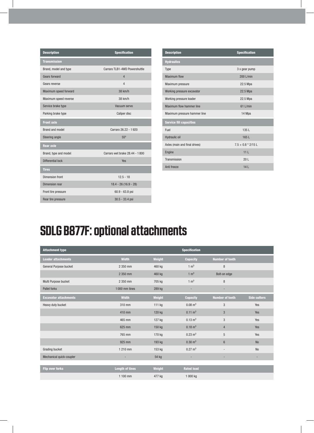| <b>Description</b>    | <b>Specification</b>           |
|-----------------------|--------------------------------|
| <b>Transmission</b>   |                                |
| Brand, model and type | Carraro TLB1-4WD Powershuttle  |
| <b>Gears forward</b>  | 4                              |
| Gears reverse         | $\overline{4}$                 |
| Maximum speed forward | 38 km/h                        |
| Maximum speed reverse | 38 km/h                        |
| Service brake type    | Vacuum servo                   |
| Parking brake type    | Caliper disc                   |
| <b>Front axle</b>     |                                |
| Brand and model       | Carraro 26.22 - 1920           |
| Steering angle        | 55°                            |
| <b>Rear axle</b>      |                                |
| Brand, type and model | Carraro wet brake 28.44 - 1800 |
| Differential lock     | Yes                            |
| <b>Tires</b>          |                                |
| Dimension front       | $12.5 - 18$                    |
| Dimension rear        | $18.4 - 26(16.9 - 28)$         |
| Front tire pressure   | $60.9 - 63.8$ psi              |
| Rear tire pressure    | 30.5 - 33.4 psi                |

| <b>Description</b>             | <b>Specification</b> |
|--------------------------------|----------------------|
| <b>Hydraulics</b>              |                      |
| Type                           | 3 x gear pump        |
| Maximum flow                   | $200$ L/min          |
| Maximum pressure               | 22.5 Mpa             |
| Working pressure excavator     | 22.5 Mpa             |
| Working pressure loader        | 22.5 Mpa             |
| Maximum flow hammer line       | $61$   /min          |
| Maximum pressure hammer line   | 14 Mpa               |
| <b>Service fill capacities</b> |                      |
| Fuel                           | 135L                 |
| Hydraulic oil                  | 165L                 |
| Axles (main and final drives)  | $7.5 + 0.8 * 2/15$ L |
| Engine                         | 11 <sub>L</sub>      |
| Transmission                   | 20 <sub>L</sub>      |
| Anti freeze                    | 14L                  |

# **SDLG B877F: optional attachments**

| <b>Attachment type</b>       |                        |               | <b>Specification</b> |                          |                     |
|------------------------------|------------------------|---------------|----------------------|--------------------------|---------------------|
| <b>Loader attachments</b>    | <b>Width</b>           | <b>Weight</b> | <b>Capacity</b>      | <b>Number of teeth</b>   |                     |
| General Purpose bucket       | 2 350 mm               | 460 kg        | $1 \text{ m}^3$      | 8                        |                     |
|                              | 2 350 mm               | 460 kg        | $1 \text{ m}^3$      | Bolt-on edge             |                     |
| Multi Purpose bucket         | 2 350 mm               | 705 kg        | $1 \text{ m}^3$      | 8                        |                     |
| <b>Pallet forks</b>          | 1000 mm tines          | 289 kg        | ٠                    | ٠                        |                     |
| <b>Excavator attachments</b> | <b>Width</b>           | <b>Weight</b> | <b>Capacity</b>      | <b>Number of teeth</b>   | <b>Side cutters</b> |
| Heavy duty bucket            | 310 mm                 | 111 kg        | $0.08 \text{ m}^3$   | 3                        | Yes                 |
|                              | 410 mm                 | 120 kg        | $0.11 \text{ m}^3$   | $\mathbf{3}$             | Yes                 |
|                              | 465 mm                 | 127 kg        | $0.13 \text{ m}^3$   | 3                        | Yes                 |
|                              | 625 mm                 | 150 kg        | $0.18 \text{ m}^3$   | $\overline{4}$           | Yes                 |
|                              | 765 mm                 | 170 kg        | $0.23 \text{ m}^3$   | 5                        | Yes                 |
|                              | 925 mm                 | 193 kg        | $0.30 \; \text{m}^3$ | $6\phantom{.}$           | <b>No</b>           |
| Grading bucket               | 1 210 mm               | 153 kg        | $0.27 \text{ m}^3$   | $\overline{\phantom{0}}$ | <b>No</b>           |
| Mechanical quick-coupler     | ٠                      | 54 kg         | ٠                    |                          |                     |
|                              |                        |               |                      |                          |                     |
| <b>Flip over forks</b>       | <b>Length of tines</b> | <b>Weight</b> | <b>Rated load</b>    |                          |                     |
|                              | 1 100 mm               | 477 kg        | 1 000 kg             |                          |                     |